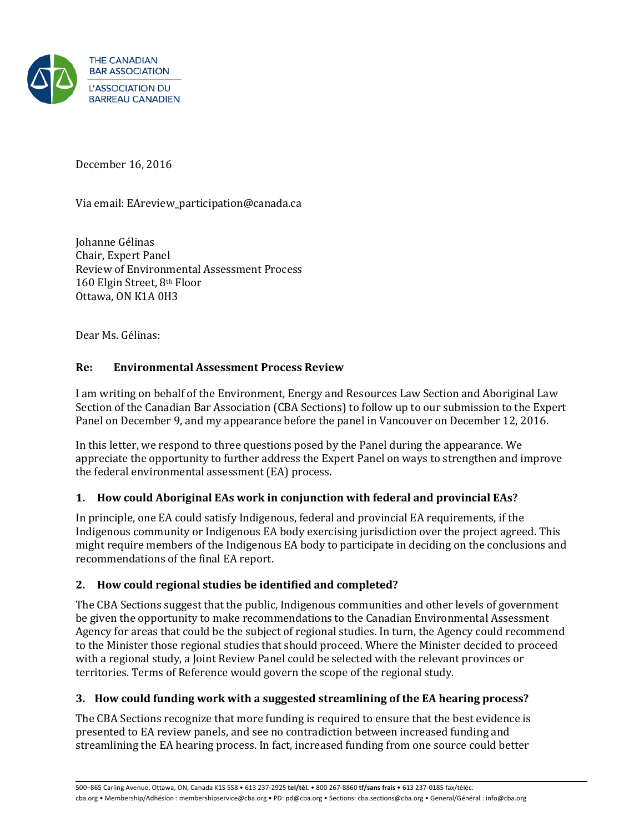

December 16, 2016

Via email: EAreview\_participation@canada.ca

Johanne Gélinas Chair, Expert Panel Review of Environmental Assessment Process 160 Elgin Street, 8th Floor Ottawa, ON K1A 0H3

Dear Ms. Gélinas:

## **Re: Environmental Assessment Process Review**

I am writing on behalf of the Environment, Energy and Resources Law Section and Aboriginal Law Section of the Canadian Bar Association (CBA Sections) to follow up to our submission to the Expert Panel on December 9, and my appearance before the panel in Vancouver on December 12, 2016.

In this letter, we respond to three questions posed by the Panel during the appearance. We appreciate the opportunity to further address the Expert Panel on ways to strengthen and improve the federal environmental assessment (EA) process.

## **1. How could Aboriginal EAs work in conjunction with federal and provincial EAs?**

In principle, one EA could satisfy Indigenous, federal and provincial EA requirements, if the Indigenous community or Indigenous EA body exercising jurisdiction over the project agreed. This might require members of the Indigenous EA body to participate in deciding on the conclusions and recommendations of the final EA report.

## **2. How could regional studies be identified and completed?**

The CBA Sections suggest that the public, Indigenous communities and other levels of government be given the opportunity to make recommendations to the Canadian Environmental Assessment Agency for areas that could be the subject of regional studies. In turn, the Agency could recommend to the Minister those regional studies that should proceed. Where the Minister decided to proceed with a regional study, a Joint Review Panel could be selected with the relevant provinces or territories. Terms of Reference would govern the scope of the regional study.

## **3. How could funding work with a suggested streamlining of the EA hearing process?**

The CBA Sections recognize that more funding is required to ensure that the best evidence is presented to EA review panels, and see no contradiction between increased funding and streamlining the EA hearing process. In fact, increased funding from one source could better